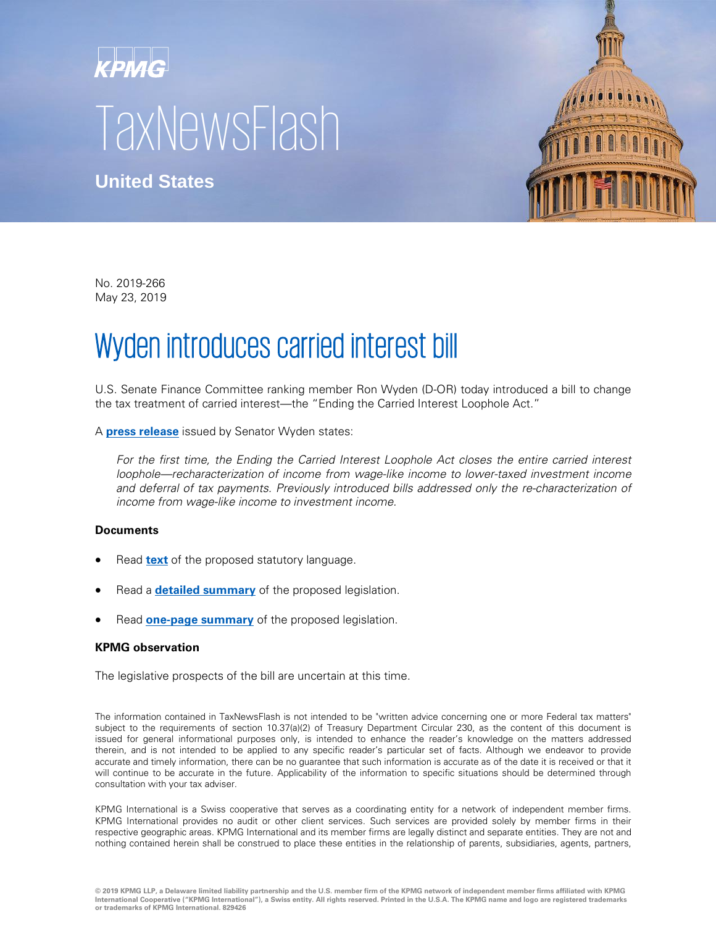## KPMG **TaxNewsFlash**



**United States**

No. 2019-266 May 23, 2019

## Wyden introduces carried interest bill

U.S. Senate Finance Committee ranking member Ron Wyden (D-OR) today introduced a bill to change the tax treatment of carried interest—the "Ending the Carried Interest Loophole Act."

A **[press release](https://www.finance.senate.gov/ranking-members-news/wyden-bill-ensures-hedge-fund-managers-pay-their-fair-share-in-taxes)** issued by Senator Wyden states:

For the first time, the Ending the Carried Interest Loophole Act closes the entire carried interest loophole—recharacterization of income from wage-like income to lower-taxed investment income and deferral of tax payments. Previously introduced bills addressed only the re-characterization of income from wage-like income to investment income.

## **Documents**

- Read **[text](https://www.finance.senate.gov/download/ending-the-carried-interest-loophole-act-of-2019-bill-text)** of the proposed statutory language.
- Read a **[detailed summary](https://www.finance.senate.gov/download/ending-the-carried-interest-loophole-act-of-2019-bill-summary)** of the proposed legislation.
- Read **[one-page summary](https://www.finance.senate.gov/download/ending-the-carried-interest-loophole-act-of-2019-one-pager)** of the proposed legislation.

## **KPMG observation**

The legislative prospects of the bill are uncertain at this time.

The information contained in TaxNewsFlash is not intended to be "written advice concerning one or more Federal tax matters" subject to the requirements of section 10.37(a)(2) of Treasury Department Circular 230, as the content of this document is issued for general informational purposes only, is intended to enhance the reader's knowledge on the matters addressed therein, and is not intended to be applied to any specific reader's particular set of facts. Although we endeavor to provide accurate and timely information, there can be no guarantee that such information is accurate as of the date it is received or that it will continue to be accurate in the future. Applicability of the information to specific situations should be determined through consultation with your tax adviser.

KPMG International is a Swiss cooperative that serves as a coordinating entity for a network of independent member firms. KPMG International provides no audit or other client services. Such services are provided solely by member firms in their respective geographic areas. KPMG International and its member firms are legally distinct and separate entities. They are not and nothing contained herein shall be construed to place these entities in the relationship of parents, subsidiaries, agents, partners,